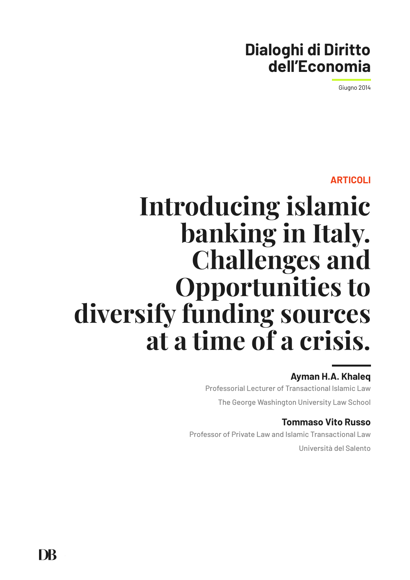# **Dialoghi di Diritto dell'Economia**

Giugno 2014

#### **ARTICOLI**

# **Introducing islamic banking in Italy. Challenges and Opportunities to diversify funding sources at a time of a crisis.**

## **Ayman H.A. Khaleq**

Professorial Lecturer of Transactional Islamic Law The George Washington University Law School

## **Tommaso Vito Russo**

Professor of Private Law and Islamic Transactional Law Università del Salento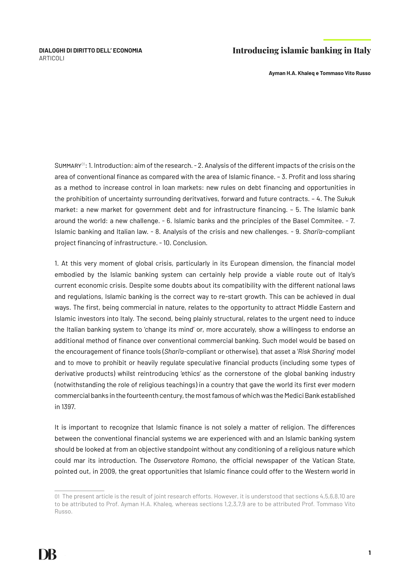**Ayman H.A. Khaleq e Tommaso Vito Russo**

SUMMARY<sup>01</sup>: 1. Introduction: aim of the research.  $-2$ . Analysis of the different impacts of the crisis on the area of conventional finance as compared with the area of Islamic finance. – 3. Profit and loss sharing as a method to increase control in loan markets: new rules on debt financing and opportunities in the prohibition of uncertainty surrounding deritvatives, forward and future contracts. – 4. The Sukuk market: a new market for government debt and for infrastructure financing. – 5. The Islamic bank around the world: a new challenge. - 6. Islamic banks and the principles of the Basel Commitee. - 7. Islamic banking and Italian law. - 8. Analysis of the crisis and new challenges. - 9. *Shari'a*-compliant project financing of infrastructure. - 10. Conclusion.

1. At this very moment of global crisis, particularly in its European dimension, the financial model embodied by the Islamic banking system can certainly help provide a viable route out of Italy's current economic crisis. Despite some doubts about its compatibility with the different national laws and regulations, Islamic banking is the correct way to re-start growth. This can be achieved in dual ways. The first, being commercial in nature, relates to the opportunity to attract Middle Eastern and Islamic investors into Italy. The second, being plainly structural, relates to the urgent need to induce the Italian banking system to 'change its mind' or, more accurately, show a willingess to endorse an additional method of finance over conventional commercial banking. Such model would be based on the encouragement of finance tools (*Shari'a-*compliant or otherwise), that asset a '*Risk Sharing*' model and to move to prohibit or heavily regulate speculative financial products (including some types of derivative products) whilst reintroducing 'ethics' as the cornerstone of the global banking industry (notwithstanding the role of religious teachings) in a country that gave the world its first ever modern commercial banks in the fourteenth century, the most famous of which was the Medici Bank established in 1397.

It is important to recognize that Islamic finance is not solely a matter of religion. The differences between the conventional financial systems we are experienced with and an Islamic banking system should be looked at from an objective standpoint without any conditioning of a religious nature which could mar its introduction. The *Osservatore Romano*, the official newspaper of the Vatican State, pointed out, in 2009, the great opportunities that Islamic finance could offer to the Western world in

<sup>01</sup> The present article is the result of joint research efforts. However, it is understood that sections 4,5,6,8,10 are to be attributed to Prof. Ayman H.A. Khaleq, whereas sections 1,2,3,7,9 are to be attributed Prof. Tommaso Vito Russo.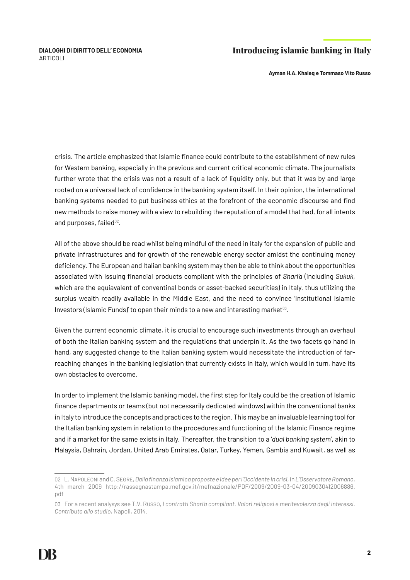**Ayman H.A. Khaleq e Tommaso Vito Russo**

crisis. The article emphasized that Islamic finance could contribute to the establishment of new rules for Western banking, especially in the previous and current critical economic climate. The journalists further wrote that the crisis was not a result of a lack of liquidity only, but that it was by and large rooted on a universal lack of confidence in the banking system itself. In their opinion, the international banking systems needed to put business ethics at the forefront of the economic discourse and find new methods to raise money with a view to rebuilding the reputation of a model that had, for all intents and purposes, failed $02$ .

All of the above should be read whilst being mindful of the need in Italy for the expansion of public and private infrastructures and for growth of the renewable energy sector amidst the continuing money deficiency. The European and Italian banking system may then be able to think about the opportunities associated with issuing financial products compliant with the principles of *Shari'a* (including *Sukuk*, which are the equiavalent of conventinal bonds or asset-backed securities) in Italy, thus utilizing the surplus wealth readily available in the Middle East, and the need to convince 'Institutional Islamic Investors (Islamic Funds)' to open their minds to a new and interesting market $^{03}$ .

Given the current economic climate, it is crucial to encourage such investments through an overhaul of both the Italian banking system and the regulations that underpin it. As the two facets go hand in hand, any suggested change to the Italian banking system would necessitate the introduction of farreaching changes in the banking legislation that currently exists in Italy, which would in turn, have its own obstacles to overcome.

In order to implement the Islamic banking model, the first step for Italy could be the creation of Islamic finance departments or teams (but not necessarily dedicated windows) within the conventional banks in Italy to introduce the concepts and practices to the region. This may be an invaluable learning tool for the Italian banking system in relation to the procedures and functioning of the Islamic Finance regime and if a market for the same exists in Italy. Thereafter, the transition to a '*dual banking system*', akin to Malaysia, Bahrain, Jordan, United Arab Emirates, Qatar, Turkey, Yemen, Gambia and Kuwait, as well as

<sup>02</sup> L. Napoleoni and C. Segre, *Dalla finanza islamica proposte e idee per l'Occidente in crisi*, in *L'Osservatore Romano*, 4th march 2009 http://rassegnastampa.mef.gov.it/mefnazionale/PDF/2009/2009-03-04/2009030412006886. pdf

<sup>03</sup> For a recent analysys see T.V. Russo, *I contratti Shari'a compliant. Valori religiosi e meritevolezza degli interessi. Contributo allo studio*, Napoli, 2014.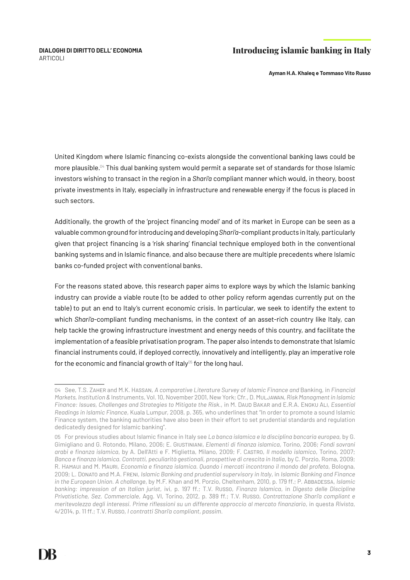**Ayman H.A. Khaleq e Tommaso Vito Russo**

United Kingdom where Islamic financing co-exists alongside the conventional banking laws could be more plausible.<sup>04</sup> This dual banking system would permit a separate set of standards for those Islamic investors wishing to transact in the region in a *Shari'a* compliant manner which would, in theory, boost private investments in Italy, especially in infrastructure and renewable energy if the focus is placed in such sectors.

Additionally, the growth of the 'project financing model' and of its market in Europe can be seen as a valuable common ground for introducing and developing *Shari'a*-compliant products in Italy, particularly given that project financing is a 'risk sharing' financial technique employed both in the conventional banking systems and in Islamic finance, and also because there are multiple precedents where Islamic banks co-funded project with conventional banks.

For the reasons stated above, this research paper aims to explore ways by which the Islamic banking industry can provide a viable route (to be added to other policy reform agendas currently put on the table) to put an end to Italy's current economic crisis. In particular, we seek to identify the extent to which *Shari'a*-compliant funding mechanisms, in the context of an asset-rich country like Italy, can help tackle the growing infrastructure investment and energy needs of this country, and facilitate the implementation of a feasible privatisation program. The paper also intends to demonstrate that Islamic financial instruments could, if deployed correctly, innovatively and intelligently, play an imperative role for the economic and financial growth of Italy<sup>05</sup> for the long haul.

<sup>04</sup> See, T.S. Zaher and M.K. Hassan, *A comparative Literature Survey of Islamic Finance and* Banking, in *Financial Markets, Institution &* Instruments, Vol. 10, November 2001, New York; Cfr., D. Muljawan, *Risk Managment in Islamic Finance: Issues, Challenges and Strategies to Mitigate the Risk.*, in M. Daud Bakar and E.R.A. Engku Ali, *Essential Readings in Islamic Finance*, Kuala Lumpur, 2008, p. 365, who underlines that "In order to promote a sound Islamic Finance system, the banking authorities have also been in their effort to set prudential standards and regulation dedicatedly designed for Islamic banking".

<sup>05</sup> For previous studies about Islamic finance in Italy see *La banca islamica e la disciplina bancaria europea*, by G. Gimigliano and G. Rotondo, Milano, 2006; E. Giustiniani, *Elementi di finanza islamica*, Torino, 2006; *Fondi sovrani arabi e finanza islamica*, by A. Dell'Atti e F. Miglietta, Milano, 2009; F. Castro, *Il modello islamico*, Torino, 2007; *Banca e finanza islamica. Contratti, peculiarità gestionali, prospettive di crescita in Italia*, by C. Porzio, Roma, 2009; R. Hamaui and M. Mauri, *Economia e finanza islamica. Quando i mercati incontrano il mondo del profeta*, Bologna, 2009; L. Donato and M.A. Freni, *Islamic Banking and prudential supervisory in Italy*, in *Islamic Banking and Finance in the European Union. A challange*, by M.F. Khan and M. Porzio, Cheltenham, 2010, p. 179 ff.; P. Abbadessa, *Islamic banking: impression of an Italian jurist*, ivi, p. 197 ff.; T.V. Russo, *Finanza Islamica*, in *Digesto delle Discipline Privatistiche, Sez. Commerciale*, Agg. VI, Torino, 2012, p. 389 ff.; T.V. Russo, *Contrattazione Shari'a compliant e meritevolezza degli interessi. Prime riflessioni su un differente approccio al mercato finanziario*, in questa *Rivista*, 4/2014, p. 11 ff.; T.V. Russo, *I contratti Shari'a compliant*, *passim*.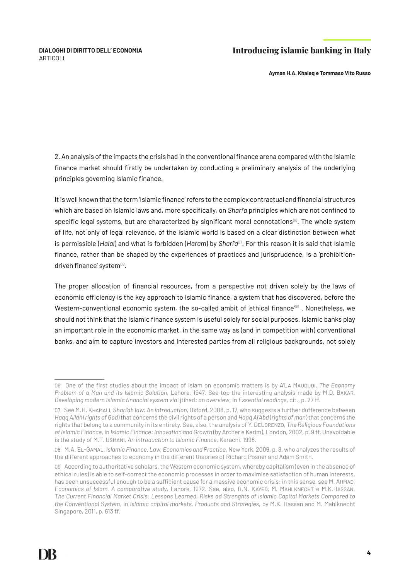**Ayman H.A. Khaleq e Tommaso Vito Russo**

2. An analysis of the impacts the crisis had in the conventional finance arena compared with the Islamic finance market should firstly be undertaken by conducting a preliminary analysis of the underlying principles governing Islamic finance.

It is well known that the term 'Islamic finance' refers to the complex contractual and financial structures which are based on Islamic laws and, more specifically, on *Shari'a* principles which are not confined to specific legal systems, but are characterized by significant moral connotations<sup>06</sup>. The whole system of life, not only of legal relevance, of the Islamic world is based on a clear distinction between what is permissible (*Halal*) and what is forbidden (*Haram*) by *Shari'a*07. For this reason it is said that Islamic finance, rather than be shaped by the experiences of practices and jurisprudence, is a 'prohibitiondriven finance' system<sup>08</sup>.

The proper allocation of financial resources, from a perspective not driven solely by the laws of economic efficiency is the key approach to Islamic finance, a system that has discovered, before the Western-conventional economic system, the so-called ambit of 'ethical finance<sup>'09</sup>. Nonetheless, we should not think that the Islamic finance system is useful solely for social purposes. Islamic banks play an important role in the economic market, in the same way as (and in competition with) conventional banks, and aim to capture investors and interested parties from all religious backgrounds, not solely

<sup>06</sup> One of the first studies about the impact of Islam on economic matters is by A'La Maududi, *The Economy Problem of a Man and its Islamic Solution*, Lahore, 1947. See too the interesting analysis made by M.D. Bakar, *Developing modern Islamic financial system via* Ijtihad*: an overview*, in *Essential readings*, cit., p. 27 ff.

<sup>07</sup> See M.H. Khamali, *Shari'ah law: An introduction*, Oxford, 2008, p. 17, who suggests a further dufference between *Haqq Allah* (*rights of God*) that concerns the civil rights of a person and *Haqq Al'Abd* (*rights of man*) that concerns the rights that belong to a community in its entirety. See, also, the analysis of Y. DeLorenzo, *The Religious Foundations of Islamic Finance*, in *Islamic Finance: Innovation and Growth* (by Archer e Karim), London, 2002, p. 9 ff. Unavoidable is the study of M.T. Usmani, *An introduction to Islamic Finance*, Karachi, 1998.

<sup>08</sup> M.A. El-Gamal, *Islamic Finance. Law, Economics and Practice*, New York, 2009, p. 8, who analyzes the results of the different approaches to economy in the different theories of Richard Posner and Adam Smith.

<sup>09</sup> According to authoritative scholars, the Western economic system, whereby capitalism (even in the absence of ethical rules) is able to self-correct the economic processes in order to maximise satisfaction of human interests, has been unsuccessful enough to be a sufficient cause for a massive economic crisis: in this sense, see M. AHMAD, *Economics of Islam. A comparative study*, Lahore, 1972. See, also, R.N. Kayed, M. Mahlknecht e M.K.Hassan, *The Current Financial Market Crisis: Lessons Learned, Risks ad Strenghts of Islamic Capital Markets Compared to the Conventional System*, in *Islamic capital markets. Products and Strategies*, by M.K. Hassan and M. Mahlknecht Singapore, 2011, p. 613 ff.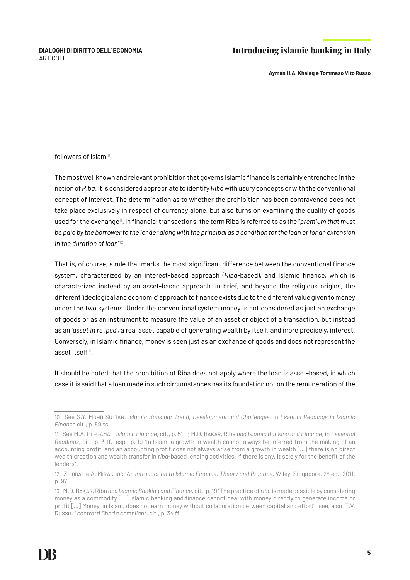**Ayman H.A. Khaleq e Tommaso Vito Russo**

followers of Islam<sup>10</sup>

The most well known and relevant prohibition that governs Islamic finance is certainly entrenched in the notion of *Riba*. It is considered appropriate to identify *Riba* with usury concepts or with the conventional concept of interest. The determination as to whether the prohibition has been contravened does not take place exclusively in respect of currency alone, but also turns on examining the quality of goods used for the exchange<sup>11</sup>. In financial transactions, the term Riba is referred to as the "*premium that must be paid by the borrower to the lender along with the principal as a condition for the loan or for an extension in the duration of loan*" 12.

That is, of course, a rule that marks the most significant difference between the conventional finance system, characterized by an interest-based approach (*Riba-*based), and Islamic finance, which is characterized instead by an asset-based approach. In brief, and beyond the religious origins, the different 'ideological and economic' approach to finance exists due to the different value given to money under the two systems. Under the conventional system money is not considered as just an exchange of goods or as an instrument to measure the value of an asset or object of a transaction, but instead as an '*asset in re ipsa*', a real asset capable of generating wealth by itself, and more precisely, interest. Conversely, in Islamic finance, money is seen just as an exchange of goods and does not represent the asset itself13.

It should be noted that the prohibition of Riba does not apply where the loan is asset-based, in which case it is said that a loan made in such circumstances has its foundation not on the remuneration of the

<sup>10</sup> See S.Y. Mohd Sultan, *Islamic Banking: Trend, Development and Challenges*, in *Essntial Readings in Islamic Finance* cit., p. 89 ss

<sup>11</sup> See M.A. El-Gamal, *Islamic Finance*, cit., p. 51 f.; M.D. Bakar, Riba *and Islamic Banking and Finance*, in *Essential Readings*, cit., p. 3 ff., esp., p. 19 "In Islam, a growth in wealth cannot always be inferred from the making of an accounting profit, and an accounting profit does not always arise from a growth in wealth […] there is no direct wealth creation and wealth transfer in *riba*-based lending activities. If there is any, it solely for the benefit of the lenders".

<sup>12</sup> Z. Iqbal e A. Mirakhor, *An Introduction to Islamic Finance*. *Theory and Practice*, Wiley, Singapore, 2^ ed., 2011, p. 97.

<sup>13</sup> M.D. Bakar, Riba *and Islamic Banking and Finance*, cit., p. 19 "The practice of *riba* is made possible by considering money as a commodity […] Islamic banking and finance cannot deal with money directly to generate income or profit […] Money, in Islam, does not earn money without collaboration between capital and effort"; see, also, T.V. Russo, *I contratti Shari'a compliant*, cit., p. 34 ff.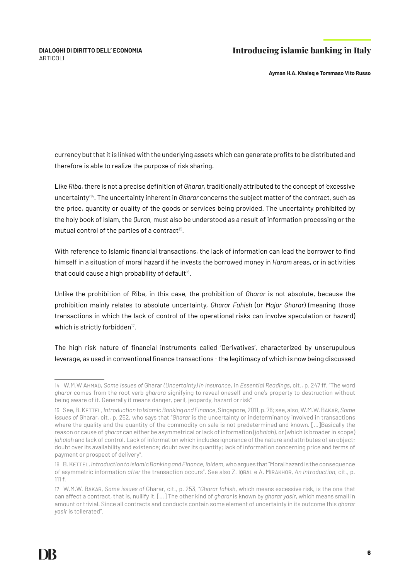**Ayman H.A. Khaleq e Tommaso Vito Russo**

currency but that it is linked with the underlying assets which can generate profits to be distributed and therefore is able to realize the purpose of risk sharing.

Like *Riba*, there is not a precise definition of *Gharar*, traditionally attributed to the concept of 'excessive uncertainty'14. The uncertainty inherent in *Gharar* concerns the subject matter of the contract, such as the price, quantity or quality of the goods or services being provided. The uncertainty prohibited by the holy book of Islam, the *Quran,* must also be understood as a result of information processing or the mutual control of the parties of a contract<sup>15</sup>.

With reference to Islamic financial transactions, the lack of information can lead the borrower to find himself in a situation of moral hazard if he invests the borrowed money in *Haram* areas, or in activities that could cause a high probability of default $16$ .

Unlike the prohibition of Riba, in this case, the prohibition of *Gharar* is not absolute, because the prohibition mainly relates to absolute uncertainty, *Gharar Fahish* (or *Major Gharar*) (meaning those transactions in which the lack of control of the operational risks can involve speculation or hazard) which is strictly forbidden<sup>17</sup>.

The high risk nature of financial instruments called 'Derivatives', characterized by unscrupulous leverage, as used in conventional finance transactions - the legitimacy of which is now being discussed

<sup>14</sup> W.M.W Ahmad, *Some issues of* Gharar *(Uncertainty) in Insurance*, in *Essential Readings*, cit., p. 247 ff. "The word *gharar* comes from the root verb *gharara* signifying to reveal oneself and one's property to destruction without being aware of it. Generally it means danger, peril, jeopardy, hazard or risk"

<sup>15</sup> See, B. Kettel, *Introduction to Islamic Banking and Finance*, Singapore, 2011, p. 76; see, also, W.M.W. Bakar, *Some issues of* Gharar*,* cit., p. 252, who says that "*Gharar* is the uncertainty or indeterminancy involved in transactions where the quality and the quantity of the commodity on sale is not predetermined and known. [...]Basically the reason or cause of *gharar* can either be asymmetrical or lack of information (*jahalah*), or (which is broader in scope) *jahalah* and lack of control. Lack of information which includes ignorance of the nature and attributes of an object; doubt over its availability and existence; doubt over its quantity; lack of information concerning price and terms of payment or prospect of delivery".

<sup>16</sup> B. Kettel, *Introduction to Islamic Banking and Finance*, *ibidem*, who argues that "Moral hazard is the consequence of asymmetric information *after* the transaction occurs". See also Z. Iqbal e A. Mirakhor, *An Introduction*, cit., p. 111 f.

<sup>17</sup> W.M.W. Bakar, *Some issues of* Gharar*,* cit., p. 253, "*Gharar fahish*, which means excessive risk, is the one that can affect a contract, that is, nullify it. […] The other kind of *gharar* is known by *gharar yasir*, which means small in amount or trivial. Since all contracts and conducts contain some element of uncertainty in its outcome this *gharar yasir* is tollerated".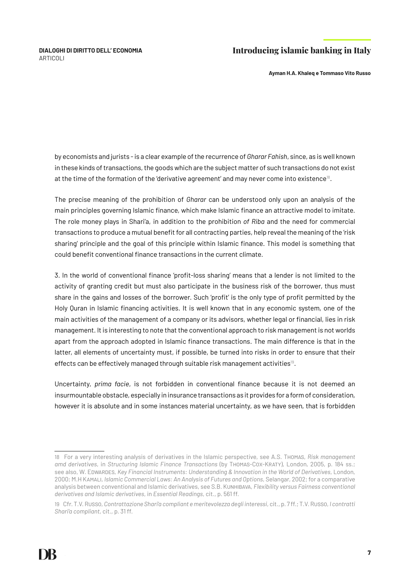**Ayman H.A. Khaleq e Tommaso Vito Russo**

by economists and jurists - is a clear example of the recurrence of *Gharar Fahish*, since, as is well known in these kinds of transactions, the goods which are the subject matter of such transactions do not exist at the time of the formation of the 'derivative agreement' and may never come into existence<sup>18</sup>.

The precise meaning of the prohibition of *Gharar* can be understood only upon an analysis of the main principles governing Islamic finance, which make Islamic finance an attractive model to imitate. The role money plays in Shari'a, in addition to the prohibition *of Riba* and the need for commercial transactions to produce a mutual benefit for all contracting parties, help reveal the meaning of the 'risk sharing' principle and the goal of this principle within Islamic finance. This model is something that could benefit conventional finance transactions in the current climate.

3. In the world of conventional finance 'profit-loss sharing' means that a lender is not limited to the activity of granting credit but must also participate in the business risk of the borrower, thus must share in the gains and losses of the borrower. Such 'profit' is the only type of profit permitted by the Holy Quran in Islamic financing activities. It is well known that in any economic system, one of the main activities of the management of a company or its advisors, whether legal or financial, lies in risk management. It is interesting to note that the conventional approach to risk management is not worlds apart from the approach adopted in Islamic finance transactions. The main difference is that in the latter, all elements of uncertainty must, if possible, be turned into risks in order to ensure that their effects can be effectively managed through suitable risk management activities<sup>19</sup>.

Uncertainty, *prima facie*, is not forbidden in conventional finance because it is not deemed an insurmountable obstacle, especially in insurance transactions as it provides for a form of consideration, however it is absolute and in some instances material uncertainty, as we have seen, that is forbidden

<sup>18</sup> For a very interesting analysis of derivatives in the Islamic perspective, see A.S. Thomas, *Risk management amd derivatives*, in *Structuring Islamic Finance Transactions* (by Thomas-Cox-Kraty), London, 2005, p. 184 ss.; see also, W. Edwardes, *Key Financial Instruments: Understanding & Innovation in the World of Derivatives*, London, 2000; M.H Kamali, *Islamic Commercial Laws: An Analysis of Futures and Options*, Selangar, 2002; for a comparative analysis between conventional and Islamic derivatives, see S.B. Kunhibava, *Flexibility versus Fairness conventional derivatives and Islamic derivatives*, in *Essential Readings*, cit., p. 561 ff.

<sup>19</sup> Cfr. T.V. Russo, *Contrattazione Shari'a compliant e meritevolezza degli interessi*, cit., p. 7 ff.; T.V. Russo, *I contratti Shari'a compliant*, cit., p. 31 ff.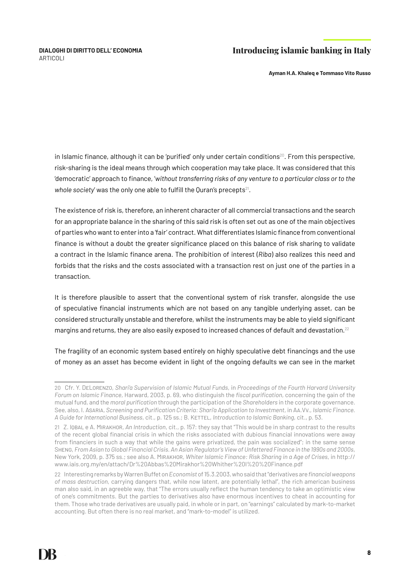**Ayman H.A. Khaleq e Tommaso Vito Russo**

in Islamic finance, although it can be 'purified' only under certain conditions<sup>20</sup>. From this perspective, risk-sharing is the ideal means through which cooperation may take place. It was considered that this 'democratic' approach to finance, '*without transferring risks of any venture to a particular class or to the whole society'* was the only one able to fulfill the Ouran's precepts<sup>21</sup>.

The existence of risk is, therefore, an inherent character of all commercial transactions and the search for an appropriate balance in the sharing of this said risk is often set out as one of the main objectives of parties who want to enter into a 'fair' contract. What differentiates Islamic finance from conventional finance is without a doubt the greater significance placed on this balance of risk sharing to validate a contract in the Islamic finance arena. The prohibition of interest (*Riba*) also realizes this need and forbids that the risks and the costs associated with a transaction rest on just one of the parties in a transaction.

It is therefore plausible to assert that the conventional system of risk transfer, alongside the use of speculative financial instruments which are not based on any tangible underlying asset, can be considered structurally unstable and therefore, whilst the instruments may be able to yield significant margins and returns, they are also easily exposed to increased chances of default and devastation.<sup>22</sup>

The fragility of an economic system based entirely on highly speculative debt financings and the use of money as an asset has become evident in light of the ongoing defaults we can see in the market

<sup>20</sup> Cfr. Y. DeLorenzo, *Shari'a Supervision of Islamic Mutual Funds*, in *Proceedings of the Fourth Harvard University Forum on Islamic Finance*, Harward, 2003, p. 69, who distinguish the *fiscal purification*, concerning the gain of the mutual fund, and the *moral purification* through the participation of the *Shareholders* in the corporate governance. See, also, I. Asaria, *Screening and Purification Criteria: Shari'a Application to Investment*, in Aa.Vv., *Islamic Finance. A Guide for International Business*, cit., p. 125 ss.; B. Kettel, *Introduction to Islamic Banking*, cit., p. 53.

<sup>21</sup> Z. Iqbal e A. Mirakhor, *An Introduction*, cit., p. 157: they say that "This would be in sharp contrast to the results of the recent global financial crisis in which the risks associated with dubious financial innovations were away from financiers in such a way that while the gains were privatized, the pain was socialized"; in the same sense Sheng, *From Asian to Global Financial Crisis. An Asian Regulator's View of Unfettered Finance in the 1990s and 2000s*, New York, 2009, p. 375 ss.; see also A. Mirakhor, *Whiter Islamic Finance: Risk Sharing in a Age of Crises*, in http:// www.iais.org.my/en/attach/Dr%20Abbas%20Mirakhor%20Whither%20I%20%20Finance.pdf

<sup>22</sup> Interesting remarks by Warren Buffet on *Economist* of 15.3.2003, who said that "derivatives are *financial weapons of mass destruction*, carrying dangers that, while now latent, are potentially lethal", the rich american business man also said, in an agreeble way, that "The errors usually reflect the human tendency to take an optimistic view of one's commitments. But the parties to derivatives also have enormous incentives to cheat in accounting for them. Those who trade derivatives are usually paid, in whole or in part, on "earnings" calculated by mark-to-market accounting. But often there is no real market, and "mark-to-model" is utilized.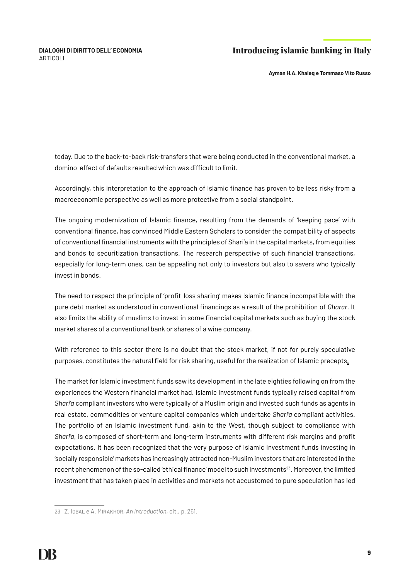**Ayman H.A. Khaleq e Tommaso Vito Russo**

today. Due to the back-to-back risk-transfers that were being conducted in the conventional market, a domino-effect of defaults resulted which was difficult to limit.

Accordingly, this interpretation to the approach of Islamic finance has proven to be less risky from a macroeconomic perspective as well as more protective from a social standpoint.

The ongoing modernization of Islamic finance, resulting from the demands of 'keeping pace' with conventional finance, has convinced Middle Eastern Scholars to consider the compatibility of aspects of conventional financial instruments with the principles of Shari'a in the capital markets, from equities and bonds to securitization transactions. The research perspective of such financial transactions, especially for long-term ones, can be appealing not only to investors but also to savers who typically invest in bonds.

The need to respect the principle of 'profit-loss sharing' makes Islamic finance incompatible with the pure debt market as understood in conventional financings as a result of the prohibition of *Gharar*. It also limits the ability of muslims to invest in some financial capital markets such as buying the stock market shares of a conventional bank or shares of a wine company.

With reference to this sector there is no doubt that the stock market, if not for purely speculative purposes, constitutes the natural field for risk sharing, useful for the realization of Islamic precepts.

The market for Islamic investment funds saw its development in the late eighties following on from the experiences the Western financial market had. Islamic investment funds typically raised capital from *Shari'a* compliant investors who were typically of a Muslim origin and invested such funds as agents in real estate, commodities or venture capital companies which undertake *Shari'a* compliant activities. The portfolio of an Islamic investment fund, akin to the West, though subject to compliance with *Shari'a*, is composed of short-term and long-term instruments with different risk margins and profit expectations. It has been recognized that the very purpose of Islamic investment funds investing in 'socially responsible' markets has increasingly attracted non-Muslim investors that are interested in the recent phenomenon of the so-called 'ethical finance' model to such investments $^{23}$ . Moreover, the limited investment that has taken place in activities and markets not accustomed to pure speculation has led

<sup>23</sup> Z. Iqbal e A. Mirakhor, *An Introduction*, cit., p. 251.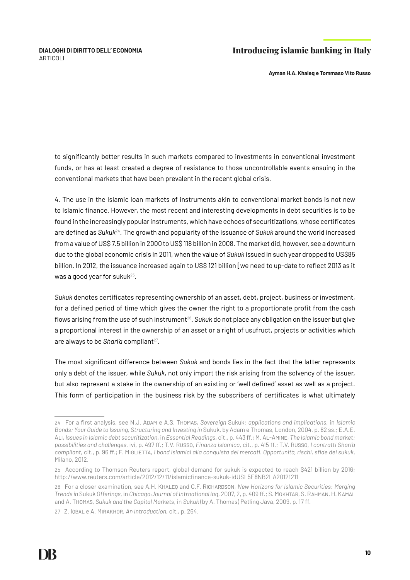**Ayman H.A. Khaleq e Tommaso Vito Russo**

to significantly better results in such markets compared to investments in conventional investment funds, or has at least created a degree of resistance to those uncontrollable events ensuing in the conventional markets that have been prevalent in the recent global crisis.

4. The use in the Islamic loan markets of instruments akin to conventional market bonds is not new to Islamic finance. However, the most recent and interesting developments in debt securities is to be found in the increasingly popular instruments, which have echoes of securitizations, whose certificates are defined as *Sukuk*24. The growth and popularity of the issuance of *Sukuk* around the world increased from a value of US\$ 7.5 billion in 2000 to US\$ 118 billion in 2008. The market did, however, see a downturn due to the global economic crisis in 2011, when the value of *Sukuk* issued in such year dropped to US\$85 billion. In 2012, the issuance increased again to US\$ 121 billion [we need to up-date to reflect 2013 as it was a good year for sukuk $25$ .

*Sukuk* denotes certificates representing ownership of an asset, debt, project, business or investment, for a defined period of time which gives the owner the right to a proportionate profit from the cash flows arising from the use of such instrument<sup>26</sup>. Sukuk do not place any obligation on the issuer but give a proportional interest in the ownership of an asset or a right of usufruct, projects or activities which are always to be *Shari'a* compliant<sup>27</sup>.

The most significant difference between *Sukuk* and bonds lies in the fact that the latter represents only a debt of the issuer, while *Sukuk*, not only import the risk arising from the solvency of the issuer, but also represent a stake in the ownership of an existing or 'well defined' asset as well as a project. This form of participation in the business risk by the subscribers of certificates is what ultimately

<sup>24</sup> For a first analysis, see N.J. Adam e A.S. Thomas, *Sovereign* Sukuk*: applications and implications*, in *Islamic Bonds: Your Guide to Issuing, Structuring and Investing in* Sukuk, by Adam e Thomas, London, 2004, p. 82 ss.; E.A.E. Ali, *Issues in Islamic debt securitization*, in *Essential Readings*, cit., p. 443 ff.; M. Al-Amine, *The Islamic bond market: possibilities and challenges*, ivi, p. 497 ff.; T.V. Russo, *Finanza islamica*, cit., p. 415 ff.; T.V. Russo, *I contratti Shari'a compliant*, cit., p. 96 ff.; F. Miglietta, *I bond islamici alla conquista dei mercati. Opportunità, rischi, sfide dei sukuk*, Milano, 2012.

<sup>25</sup> According to Thomson Reuters report, global demand for sukuk is expected to reach \$421 billion by 2016; http://www.reuters.com/article/2012/12/11/islamicfinance-sukuk-idUSL5E8NB2LA20121211

<sup>26</sup> For a closer examination, see A.H. Khaleq and C.F. Richardson, *New Horizons for Islamic Securities: Merging Trends in* Sukuk *Offerings*, in *Chicago Journal of Intrnational laq*, 2007, 2, p. 409 ff.; S. Mokhtar, S. Rahman, H. Kamal and A. Thomas, *Sukuk and the Capital Markets*, in *Sukuk* (by A. Thomas) Petling Java, 2009, p. 17 ff.

<sup>27</sup> Z. Iqbal e A. Mirakhor, *An Introduction*, cit., p. 264.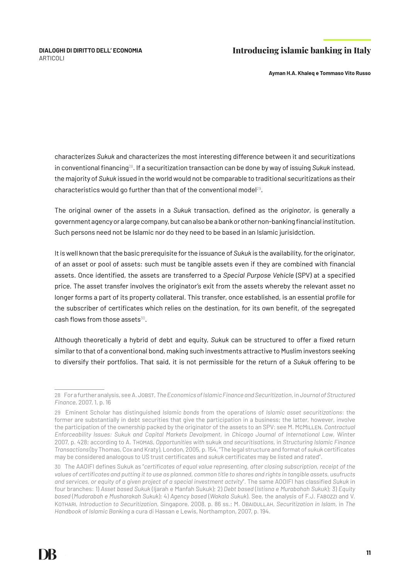**Ayman H.A. Khaleq e Tommaso Vito Russo**

characterizes *Sukuk* and characterizes the most interesting difference between it and securitizations in conventional financing28. If a securitization transaction can be done by way of issuing *Sukuk* instead, the majority of *Sukuk* issued in the world would not be comparable to traditional securitizations as their characteristics would go further than that of the conventional model<sup>29</sup>.

The original owner of the assets in a *Sukuk* transaction, defined as the *originator*, is generally a government agency or a large company, but can also be a bank or other non-banking financial institution. Such persons need not be Islamic nor do they need to be based in an Islamic jurisidction.

It is well known that the basic prerequisite for the issuance of *Sukuk* is the availability, for the originator, of an asset or pool of assets: such must be tangible assets even if they are combined with financial assets. Once identified, the assets are transferred to a *Special Purpose Vehicle* (SPV) at a specified price. The asset transfer involves the originator's exit from the assets whereby the relevant asset no longer forms a part of its property collateral. This transfer, once established, is an essential profile for the subscriber of certificates which relies on the destination, for its own benefit, of the segregated cash flows from those assets $30$ .

Although theoretically a hybrid of debt and equity, *Sukuk* can be structured to offer a fixed return similar to that of a conventional bond, making such investments attractive to Muslim investors seeking to diversify their portfolios. That said, it is not permissible for the return of a *Sukuk* offering to be

<sup>28</sup> For a further analysis, see A. Jobst, *The Economics of Islamic Finance and Securitization*, in *Journal of Structured Finance*, 2007, 1, p. 16

<sup>29</sup> Eminent Scholar has distinguished *Islamic bonds* from the operations of *Islamic asset securitizations*: the former are substantially in debt securities that give the participation in a business; the latter, however, involve the participation of the ownership packed by the originator of the assets to an SPV: see M. McMILLEN, *Contractual Enforceability Issues: Sukuk and Capital Markets Devolpment*, in *Chicago Journal of International Law*, Winter 2007, p. 428; according to A. Thomas, *Opportunities with* sukuk *and securitisations*, in *Structuring Islamic Finance Transactions* (by Thomas, Cox and Kraty), London, 2005, p. 154, "The legal structure and format of *sukuk* certificates may be considered analogous to US trust certificates and *sukuk* certificates may be listed and rated".

<sup>30</sup> The AAOIFI defines Sukuk as "*certificates of equal value representing, after closing subscription, receipt of the values of certificates and putting it to use as planned, common title to shares and rights in tangible assets, usufructs and services, or equity of a given project of a special investment actvity*". The same AOOIFI has classified *Sukuk* in four branches: 1) *Asset based Sukuk* (Ijarah e Manfah Sukuk); 2) *Debt based* (*Istisna e Murabahah Sukuk*); 3) *Equity based* (*Mudarabah e Musharakah Sukuk*); 4) *Agency based* (*Wakala Sukuk*). See, the analysis of F.J. Fabozzi and V. Kothari, *Introduction to Securitization*, Singapore, 2008, p. 86 ss.; M. Obaidullah, *Securitization in Islam*, in *The Handbook of Islamic Banking* a cura di Hassan e Lewis, Northampton, 2007, p. 194.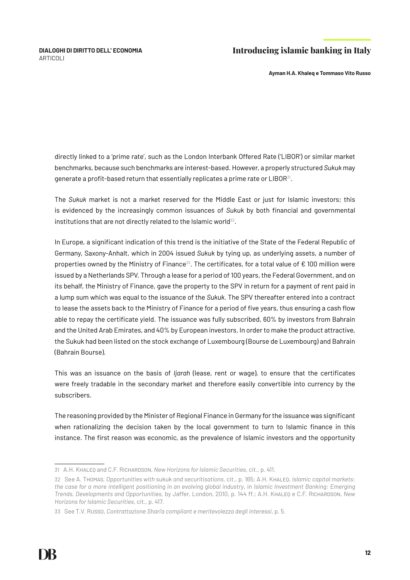**Ayman H.A. Khaleq e Tommaso Vito Russo**

directly linked to a 'prime rate', such as the London Interbank Offered Rate ('LIBOR') or similar market benchmarks, because such benchmarks are interest-based. However, a properly structured *Sukuk* may generate a profit-based return that essentially replicates a prime rate or LIBOR<sup>31</sup>.

The *Sukuk* market is not a market reserved for the Middle East or just for Islamic investors; this is evidenced by the increasingly common issuances of *Sukuk* by both financial and governmental institutions that are not directly related to the Islamic world<sup>32</sup>.

In Europe, a significant indication of this trend is the initiative of the State of the Federal Republic of Germany, Saxony-Anhalt, which in 2004 issued *Sukuk* by tying up, as underlying assets, a number of properties owned by the Ministry of Finance<sup>33</sup>. The certificates, for a total value of  $\epsilon$  100 million were issued by a Netherlands SPV. Through a lease for a period of 100 years, the Federal Government, and on its behalf, the Ministry of Finance, gave the property to the SPV in return for a payment of rent paid in a lump sum which was equal to the issuance of the *Sukuk*. The SPV thereafter entered into a contract to lease the assets back to the Ministry of Finance for a period of five years, thus ensuring a cash flow able to repay the certificate yield. The issuance was fully subscribed, 60% by investors from Bahrain and the United Arab Emirates, and 40% by European investors. In order to make the product attractive, the Sukuk had been listed on the stock exchange of Luxembourg (Bourse de Luxembourg) and Bahrain (Bahrain Bourse).

This was an issuance on the basis of *Ijarah* (lease, rent or wage), to ensure that the certificates were freely tradable in the secondary market and therefore easily convertible into currency by the subscribers.

The reasoning provided by the Minister of Regional Finance in Germany for the issuance was significant when rationalizing the decision taken by the local government to turn to Islamic finance in this instance. The first reason was economic, as the prevalence of Islamic investors and the opportunity

<sup>31</sup> A.H. Khaleq and C.F. Richardson, *New Horizons for Islamic Securities*, cit., p. 411.

<sup>32</sup> See A. Thomas, *Opportunities with* sukuk *and securitisations*, cit., p. 165; A.H. Khaleq, *Islamic capital markets: the case for a more intelligent positioning in an evolving global industry*, in *Islamic Investment Banking: Emerging Trends, Developments and Opportunities*, by Jaffer, London, 2010, p. 144 ff.; A.H. Khaleq e C.F. Richardson, *New Horizons for Islamic Securities*, cit., p. 417.

<sup>33</sup> See T.V. Russo, *Contrattazione Shari'a compliant e meritevolezza degli interessi*, p. 5.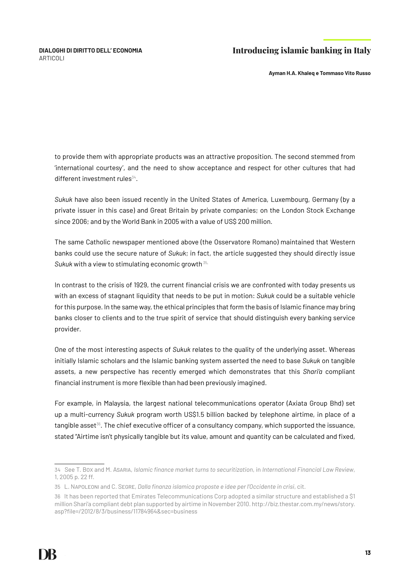**Ayman H.A. Khaleq e Tommaso Vito Russo**

to provide them with appropriate products was an attractive proposition. The second stemmed from 'international courtesy', and the need to show acceptance and respect for other cultures that had  $different investment rules<sup>34</sup>$ .

*Sukuk* have also been issued recently in the United States of America, Luxembourg, Germany (by a private issuer in this case) and Great Britain by private companies; on the London Stock Exchange since 2006; and by the World Bank in 2005 with a value of US\$ 200 million.

The same Catholic newspaper mentioned above (the Osservatore Romano) maintained that Western banks could use the secure nature of *Sukuk*; in fact, the article suggested they should directly issue Sukuk with a view to stimulating economic growth<sup>35.</sup>

In contrast to the crisis of 1929, the current financial crisis we are confronted with today presents us with an excess of stagnant liquidity that needs to be put in motion: *Sukuk* could be a suitable vehicle for this purpose. In the same way, the ethical principles that form the basis of Islamic finance may bring banks closer to clients and to the true spirit of service that should distinguish every banking service provider.

One of the most interesting aspects of *Sukuk* relates to the quality of the underlying asset. Whereas initially Islamic scholars and the Islamic banking system asserted the need to base *Sukuk* on tangible assets, a new perspective has recently emerged which demonstrates that this *Shari'a* compliant financial instrument is more flexible than had been previously imagined.

For example, in Malaysia, the largest national telecommunications operator (Axiata Group Bhd) set up a multi-currency *Sukuk* program worth US\$1.5 billion backed by telephone airtime, in place of a tangible asset $36$ . The chief executive officer of a consultancy company, which supported the issuance, stated "Airtime isn't physically tangible but its value, amount and quantity can be calculated and fixed,

<sup>34</sup> See T. Box and M. Asaria, *Islamic finance market turns to securitization*, in *International Financial Law Review*, 1, 2005 p. 22 ff.

<sup>35</sup> L. Napoleoni and C. Segre, *Dalla finanza islamica proposte e idee per l'Occidente in crisi*, cit.

<sup>36</sup> It has been reported that Emirates Telecommunications Corp adopted a similar structure and established a \$1 million Shari'a compliant debt plan supported by airtime in November 2010. http://biz.thestar.com.my/news/story. asp?file=/2012/8/3/business/11784964&sec=business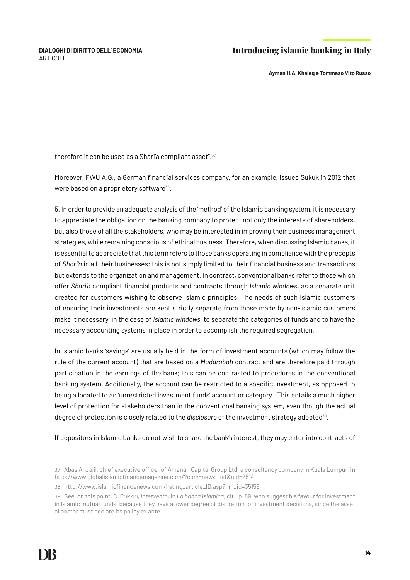**Ayman H.A. Khaleq e Tommaso Vito Russo**

therefore it can be used as a Shari'a compliant asset".<sup>37</sup>

Moreover, FWU A.G., a German financial services company, for an example, issued Sukuk in 2012 that were based on a proprietory software $38$ .

5. In order to provide an adequate analysis of the 'method' of the Islamic banking system, it is necessary to appreciate the obligation on the banking company to protect not only the interests of shareholders, but also those of all the stakeholders, who may be interested in improving their business management strategies, while remaining conscious of ethical business. Therefore, when discussing Islamic banks, it is essential to appreciate that this term refers to those banks operating in compliance with the precepts of *Shari'a* in all their businesses; this is not simply limited to their financial business and transactions but extends to the organization and management. In contrast, conventional banks refer to those which offer *Shari'a* compliant financial products and contracts through *Islamic windows*, as a separate unit created for customers wishing to observe Islamic principles. The needs of such Islamic customers of ensuring their investments are kept strictly separate from those made by non-Islamic customers make it necessary, in the case of *Islamic windows*, to separate the categories of funds and to have the necessary accounting systems in place in order to accomplish the required segregation.

In Islamic banks 'savings' are usually held in the form of investment accounts (which may follow the rule of the current account) that are based on a *Mudarabah* contract and are therefore paid through participation in the earnings of the bank; this can be contrasted to procedures in the conventional banking system. Additionally, the account can be restricted to a specific investment, as opposed to being allocated to an 'unrestricted investment funds' account or category . This entails a much higher level of protection for stakeholders than in the conventional banking system, even though the actual degree of protection is closely related to the *disclosure* of the investment strategy adopted39.

If depositors in Islamic banks do not wish to share the bank's interest, they may enter into contracts of

<sup>37</sup> Abas A. Jalil, chief executive officer of Amanah Capital Group Ltd, a consultancy company in Kuala Lumpur, in http://www.globalislamicfinancemagazine.com/?com=news\_list&nid=2514.

<sup>38</sup> http://www.islamicfinancenews.com/listing\_article\_ID.asp?nm\_id=35159

<sup>39</sup> See, on this point, C. Porzio, *Intervento*, in *La banca islamica*, cit., p. 89, who suggest his favour for investment in Islamic mutual funds, because they have a lower degree of discretion for investment decisions, since the asset allocator must declare its policy ex ante.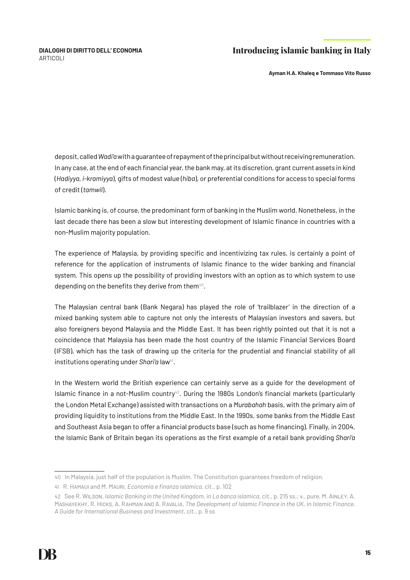**Ayman H.A. Khaleq e Tommaso Vito Russo**

deposit, called *Wadi'a* with a guarantee of repayment of the principal but without receiving remuneration. In any case, at the end of each financial year, the bank may, at its discretion, grant current assets in kind (*Hadiyya, i-kramiyya*), gifts of modest value (*hiba*), or preferential conditions for access to special forms of credit (*tamwil*).

Islamic banking is, of course, the predominant form of banking in the Muslim world. Nonetheless, in the last decade there has been a slow but interesting development of Islamic finance in countries with a non-Muslim majority population.

The experience of Malaysia, by providing specific and incentivizing tax rules, is certainly a point of reference for the application of instruments of Islamic finance to the wider banking and financial system. This opens up the possibility of providing investors with an option as to which system to use depending on the benefits they derive from them $40$ .

The Malaysian central bank (Bank Negara) has played the role of 'trailblazer' in the direction of a mixed banking system able to capture not only the interests of Malaysian investors and savers, but also foreigners beyond Malaysia and the Middle East. It has been rightly pointed out that it is not a coincidence that Malaysia has been made the host country of the Islamic Financial Services Board (IFSB), which has the task of drawing up the criteria for the prudential and financial stability of all institutions operating under *Shari'a* law<sup>41</sup>.

In the Western world the British experience can certainly serve as a guide for the development of Islamic finance in a not-Muslim country<sup>42</sup>. During the 1980s London's financial markets (particularly the London Metal Exchange) assisted with transactions on a *Murabahah* basis, with the primary aim of providing liquidity to institutions from the Middle East. In the 1990s, some banks from the Middle East and Southeast Asia began to offer a financial products base (such as home financing). Finally, in 2004, the Islamic Bank of Britain began its operations as the first example of a retail bank providing *Shari'a*

<sup>40</sup> In Malaysia, just half of the population is Muslim. The Constitution guarantees freedom of religion.

<sup>41</sup> R. Hamaui and M. Mauri, *Economia e finanza islamica*, cit., p. 102

<sup>42</sup> See R. Wilson, *Islamic Banking in the United Kingdom*, in *La banca islamica*, cit., p. 215 ss.; v., pure, M. Ainley, A. Mashayekhy, R. Hicks, A. Rahman and A. Ravalia, *The Development of Islamic Finance in the UK*, in *Islamic Finance. A Guide for International Business and Investment*, cit., p. 9 ss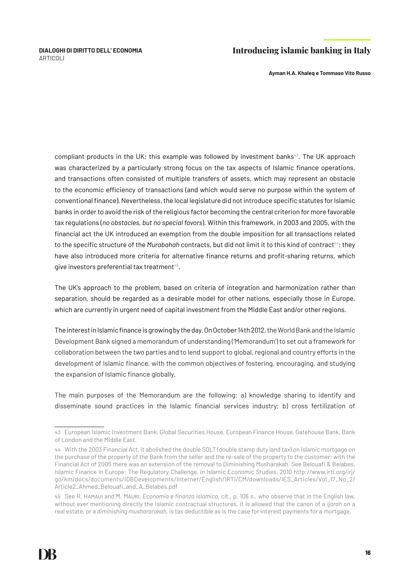**Ayman H.A. Khaleq e Tommaso Vito Russo**

compliant products in the UK; this example was followed by investment banks $43$ . The UK approach was characterized by a particularly strong focus on the tax aspects of Islamic finance operations, and transactions often consisted of multiple transfers of assets, which may represent an obstacle to the economic efficiency of transactions (and which would serve no purpose within the system of conventional finance). Nevertheless, the local legislature did not introduce specific statutes for Islamic banks in order to avoid the risk of the religious factor becoming the central criterion for more favorable tax regulations (*no obstacles, but no special favors*). Within this framework, in 2003 and 2005, with the financial act the UK introduced an exemption from the double imposition for all transactions related to the specific structure of the *Murabahah* contracts, but did not limit it to this kind of contract<sup>44</sup>; they have also introduced more criteria for alternative finance returns and profit-sharing returns, which give investors preferential tax treatment<sup>45</sup>.

The UK's approach to the problem, based on criteria of integration and harmonization rather than separation, should be regarded as a desirable model for other nations, especially those in Europe, which are currently in urgent need of capital investment from the Middle East and/or other regions.

The interest in Islamic finance is growing by the day. On October 14th 2012, the World Bank and the Islamic Development Bank signed a memorandum of understanding ('Memorandum') to set out a framework for collaboration between the two parties and to lend support to global, regional and country efforts in the development of Islamic finance, with the common objectives of fostering, encouraging, and studying the expansion of Islamic finance globally.

The main purposes of the Memorandum are the following: a) knowledge sharing to identify and disseminate sound practices in the Islamic financial services industry; b) cross fertilization of

<sup>43</sup> European Islamic Investment Bank, Global Securities House, European Finance House, Gatehouse Bank, Bank of London and the Middle East.

<sup>44</sup> With the 2003 Financial Act, it abolished the double SDLT (double stamp duty land tax) on Islamic mortgage on the purchase of the property of the Bank from the seller and the re-sale of the property to the customer; with the Financial Act of 2005 there was an extension of the removal to Diminishing Musharakah. See Belouafi & Belabes, Islamic Finance in Europe: The Regulatory Challenge, in Islamic Economic Studies, 2010 http://www.irti.org/irj/ go/km/docs/documents/IDBDevelopments/Internet/English/IRTI/CM/downloads/IES\_Articles/Vol\_17\_No\_2/ Article2\_Ahmed\_Belouafi\_and\_A\_Belabes.pdf

<sup>45</sup> See R. Hamaui and M. Mauri, *Economia e finanza islamica*, cit., p. 106 s., who observe that in the English law, without ever mentioning directly the Islamic contractual structures, it is allowed that the canon of a *ijarah* on a real estate, or a *diminishing mushararakah*, is tax deductible as is the case for interest payments for a mortgage.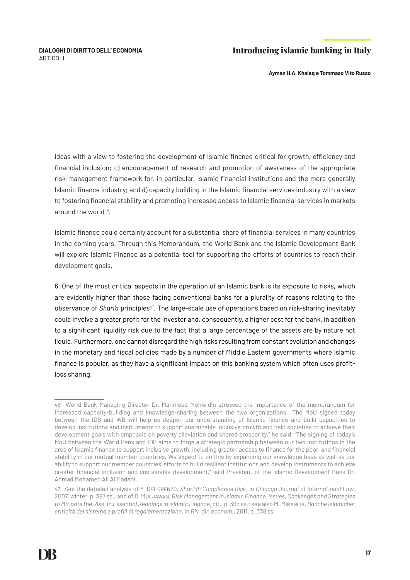**Ayman H.A. Khaleq e Tommaso Vito Russo**

ideas with a view to fostering the development of Islamic finance critical for growth, efficiency and financial inclusion; c) encouragement of research and promotion of awareness of the appropriate risk-management framework for, in particular, Islamic financial institutions and the more generally Islamic finance industry; and d) capacity building in the Islamic financial services industry with a view to fostering financial stability and promoting increased access to Islamic financial services in markets around the world $46$ .

Islamic finance could certainly account for a substantial share of financial services in many countries in the coming years. Through this Memorandum, the World Bank and the Islamic Development Bank will explore Islamic Finance as a potential tool for supporting the efforts of countries to reach their development goals.

6. One of the most critical aspects in the operation of an Islamic bank is its exposure to risks, which are evidently higher than those facing conventional banks for a plurality of reasons relating to the observance of *Shari'a* principles<sup>47</sup>. The large-scale use of operations based on risk-sharing inevitably could involve a greater profit for the investor and, consequently, a higher cost for the bank, in addition to a significant liquidity risk due to the fact that a large percentage of the assets are by nature not liquid. Furthermore, one cannot disregard the high risks resulting from constant evolution and changes in the monetary and fiscal policies made by a number of Middle Eastern governments where Islamic finance is popular, as they have a significant impact on this banking system which often uses profitloss sharing.

<sup>46</sup> World Bank Managing Director Dr. Mahmoud Mohieldin stressed the importance of the memorandum for increased capacity-building and knowledge-sharing between the two organizations. "The MoU signed today between the IDB and WB will help us deepen our understanding of Islamic finance and build capacities to develop institutions and instruments to support sustainable inclusive growth and help societies to achieve their development goals with emphasis on poverty alleviation and shared prosperity," he said. "The signing of today's MoU between the World Bank and IDB aims to forge a strategic partnership between our two institutions in the area of Islamic finance to support inclusive growth, including greater access to finance for the poor, and financial stability in our mutual member countries. We expect to do this by expanding our knowledge base as well as our ability to support our member countries' efforts to build resilient institutions and develop instruments to achieve greater financial inclusion and sustainable development," said President of the Islamic Development Bank Dr. Ahmad Mohamed Ali Al Madani.

<sup>47</sup> See the detailed analysis of Y. DeLorenzo, *Shari'ah Compliance Risk*, in *Chicago Journal of International Law*, 2007, winter, p. 397 ss., and of D. Muljawan, *Risk Management in Islamic Finance. Issues, Challenges and Strategies to Mitigate the Risk*, in *Essential Readings in Islamic Finance*, cit., p. 365 ss.; see also M. Miraglia, *Banche islamiche: criticità del sistema e profili di regolamentazione*, in *Riv. dir. econom.*, 2011, p. 338 ss.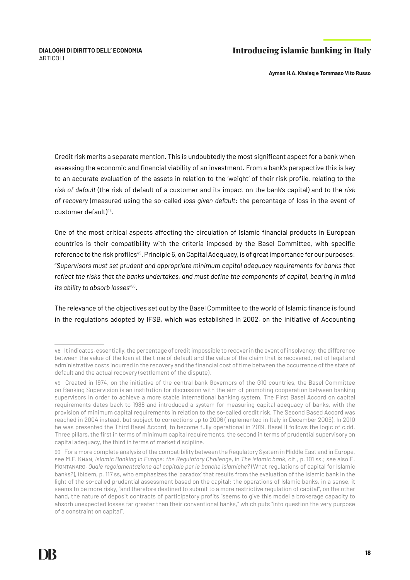**Ayman H.A. Khaleq e Tommaso Vito Russo**

Credit risk merits a separate mention. This is undoubtedly the most significant aspect for a bank when assessing the economic and financial viability of an investment. From a bank's perspective this is key to an accurate evaluation of the assets in relation to the 'weight' of their risk profile, relating to the *risk of default* (the risk of default of a customer and its impact on the bank's capital) and to the *risk of recovery* (measured using the so-called *loss given default*: the percentage of loss in the event of customer default)<sup>48</sup>.

One of the most critical aspects affecting the circulation of Islamic financial products in European countries is their compatibility with the criteria imposed by the Basel Committee, with specific reference to the risk profiles<sup>49</sup>. Principle 6, on Capital Adequacy, is of great importance for our purposes: "*Supervisors must set prudent and appropriate minimum capital adequacy requirements for banks that reflect the risks that the banks undertakes, and must define the components of capital, bearing in mind its ability to absorb losses*" 50.

The relevance of the objectives set out by the Basel Committee to the world of Islamic finance is found in the regulations adopted by IFSB, which was established in 2002, on the initiative of Accounting

<sup>48</sup> It indicates, essentially, the percentage of credit impossible to recover in the event of insolvency: the difference between the value of the loan at the time of default and the value of the claim that is recovered, net of legal and administrative costs incurred in the recovery and the financial cost of time between the occurrence of the state of default and the actual recovery (settlement of the dispute).

<sup>49</sup> Created in 1974, on the initiative of the central bank Governors of the G10 countries, the Basel Committee on Banking Supervision is an institution for discussion with the aim of promoting cooperation between banking supervisors in order to achieve a more stable international banking system. The First Basel Accord on capital requirements dates back to 1988 and introduced a system for measuring capital adequacy of banks, with the provision of minimum capital requirements in relation to the so-called credit risk. The Second Based Accord was reached in 2004 instead, but subject to corrections up to 2006 (implemented in Italy in December 2006). In 2010 he was presented the Third Basel Accord, to become fully operational in 2019. Basel II follows the logic of c.dd. Three pillars, the first in terms of minimum capital requirements, the second in terms of prudential supervisory on capital adequacy, the third in terms of market discipline.

<sup>50</sup> For a more complete analysis of the compatibility between the Regulatory System in Middle East and in Europe, see M.F. Khan, *Islamic Banking in Europe: the Regulatory Challenge*, in *The Islamic bank*, cit., p. 101 ss.; see also E. Montanaro, *Quale regolamentazione del capitale per le banche islamiche?* (What regulations of capital for Islamic banks?), ibidem, p. 117 ss, who emphasizes the 'paradox' that results from the evaluation of the Islamic bank in the light of the so-called prudential assessment based on the capital: the operations of Islamic banks, in a sense, it seems to be more risky, "and therefore destined to submit to a more restrictive regulation of capital", on the other hand, the nature of deposit contracts of participatory profits "seems to give this model a brokerage capacity to absorb unexpected losses far greater than their conventional banks," which puts "into question the very purpose of a constraint on capital".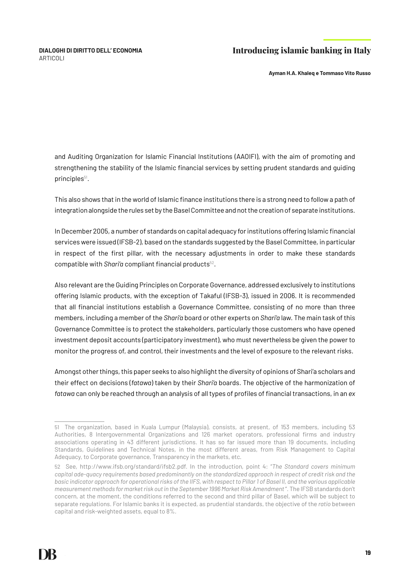**Ayman H.A. Khaleq e Tommaso Vito Russo**

and Auditing Organization for Islamic Financial Institutions (AAOIFI), with the aim of promoting and strengthening the stability of the Islamic financial services by setting prudent standards and guiding principles<sup>51</sup>.

This also shows that in the world of Islamic finance institutions there is a strong need to follow a path of integration alongside the rules set by the Basel Committee and not the creation of separate institutions.

In December 2005, a number of standards on capital adequacy for institutions offering Islamic financial services were issued (IFSB-2), based on the standards suggested by the Basel Committee, in particular in respect of the first pillar, with the necessary adjustments in order to make these standards compatible with *Shari'a* compliant financial products<sup>52</sup>.

Also relevant are the Guiding Principles on Corporate Governance, addressed exclusively to institutions offering Islamic products, with the exception of Takaful (IFSB-3), issued in 2006. It is recommended that all financial institutions establish a Governance Committee, consisting of no more than three members, including a member of the *Shari'a* board or other experts on *Shari'a* law. The main task of this Governance Committee is to protect the stakeholders, particularly those customers who have opened investment deposit accounts (participatory investment), who must nevertheless be given the power to monitor the progress of, and control, their investments and the level of exposure to the relevant risks.

Amongst other things, this paper seeks to also highlight the diversity of opinions of Shari'a scholars and their effect on decisions (*fatawa*) taken by their *Shari'a* boards. The objective of the harmonization of *fatawa* can only be reached through an analysis of all types of profiles of financial transactions, in an *ex* 

<sup>51</sup> The organization, based in Kuala Lumpur (Malaysia), consists, at present, of 153 members, including 53 Authorities, 8 Intergovernmental Organizations and 126 market operators, professional firms and industry associations operating in 43 different jurisdictions. It has so far issued more than 19 documents, including Standards, Guidelines and Technical Notes, in the most different areas, from Risk Management to Capital Adequacy, to Corporate governance, Transparency in the markets, etc.

<sup>52</sup> See, http://www.ifsb.org/standard/ifsb2.pdf. In the introduction, point 4: "*The Standard covers minimum capital ade-quacy requirements based predominantly on the standardized approach in respect of credit risk and the basic indicator approach for operational risks of the IIFS, with respect to Pillar 1 of Basel II, and the various applicable measurement methods for market risk out in the September 1996 Market Risk Amendment* ". The IFSB standards don't concern, at the moment, the conditions referred to the second and third pillar of Basel, which will be subject to separate regulations. For Islamic banks it is expected, as prudential standards, the objective of the *ratio* between capital and risk-weighted assets, equal to 8%.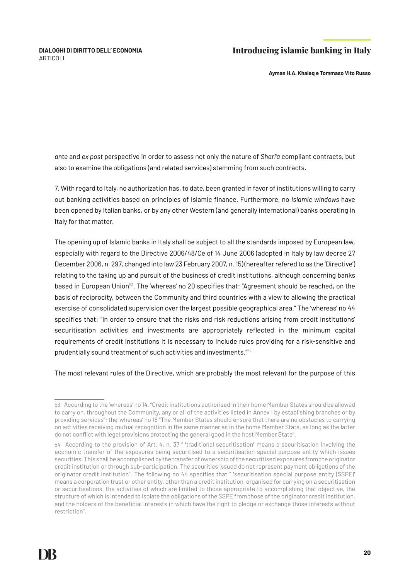**Ayman H.A. Khaleq e Tommaso Vito Russo**

*ante* and *ex post* perspective in order to assess not only the nature of *Shari'a* compliant contracts, but also to examine the obligations (and related services) stemming from such contracts.

7. With regard to Italy, no authorization has, to date, been granted in favor of institutions willing to carry out banking activities based on principles of Islamic finance. Furthermore, no *Islamic windows* have been opened by Italian banks, or by any other Western (and generally international) banks operating in Italy for that matter.

The opening up of Islamic banks in Italy shall be subject to all the standards imposed by European law, especially with regard to the Directive 2006/48/Ce of 14 June 2006 (adopted in Italy by law decree 27 December 2006, n. 297, changed into law 23 February 2007, n. 15) (hereafter refered to as the 'Directive') relating to the taking up and pursuit of the business of credit institutions, although concerning banks based in European Union<sup>53</sup>. The 'whereas' no 20 specifies that: "Agreement should be reached, on the basis of reciprocity, between the Community and third countries with a view to allowing the practical exercise of consolidated supervision over the largest possible geographical area." The 'whereas' no 44 specifies that: "In order to ensure that the risks and risk reductions arising from credit institutions' securitisation activities and investments are appropriately reflected in the minimum capital requirements of credit institutions it is necessary to include rules providing for a risk-sensitive and prudentially sound treatment of such activities and investments."54

The most relevant rules of the Directive, which are probably the most relevant for the purpose of this

<sup>53</sup> According to the 'whereas' no 14, "Credit institutions authorised in their home Member States should be allowed to carry on, throughout the Community, any or all of the activities listed in Annex I by establishing branches or by providing services"; the 'whereas' no 18 "The Member States should ensure that there are no obstacles to carrying on activities receiving mutual recognition in the same manner as in the home Member State, as long as the latter do not conflict with legal provisions protecting the general good in the host Member State".

<sup>54</sup> According to the provision of Art. 4, n. 37 " **'**traditional securitisation**'** means a securitisation involving the economic transfer of the exposures being securitised to a securitisation special purpose entity which issues securities. This shall be accomplished by the transfer of ownership of the securitised exposures from the originator credit institution or through sub-participation. The securities issued do not represent payment obligations of the originator credit institution". The following no 44 specifies that " **'**securitisation special purpose entity (SSPE)**'**  means a corporation trust or other entity, other than a credit institution, organised for carrying on a securitisation or securitisations, the activities of which are limited to those appropriate to accomplishing that objective, the structure of which is intended to isolate the obligations of the SSPE from those of the originator credit institution, and the holders of the beneficial interests in which have the right to pledge or exchange those interests without restriction".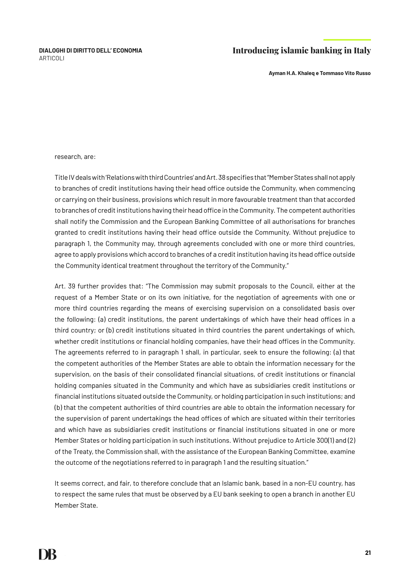**Ayman H.A. Khaleq e Tommaso Vito Russo**

#### research, are:

Title IV deals with 'Relations with third Countries' and Art. 38 specifies that "Member States shall not apply to branches of credit institutions having their head office outside the Community, when commencing or carrying on their business, provisions which result in more favourable treatment than that accorded to branches of credit institutions having their head office in the Community. The competent authorities shall notify the Commission and the European Banking Committee of all authorisations for branches granted to credit institutions having their head office outside the Community. Without prejudice to paragraph 1, the Community may, through agreements concluded with one or more third countries, agree to apply provisions which accord to branches of a credit institution having its head office outside the Community identical treatment throughout the territory of the Community."

Art. 39 further provides that: "The Commission may submit proposals to the Council, either at the request of a Member State or on its own initiative, for the negotiation of agreements with one or more third countries regarding the means of exercising supervision on a consolidated basis over the following: (a) credit institutions, the parent undertakings of which have their head offices in a third country; or (b) credit institutions situated in third countries the parent undertakings of which, whether credit institutions or financial holding companies, have their head offices in the Community. The agreements referred to in paragraph 1 shall, in particular, seek to ensure the following: (a) that the competent authorities of the Member States are able to obtain the information necessary for the supervision, on the basis of their consolidated financial situations, of credit institutions or financial holding companies situated in the Community and which have as subsidiaries credit institutions or financial institutions situated outside the Community, or holding participation in such institutions; and (b) that the competent authorities of third countries are able to obtain the information necessary for the supervision of parent undertakings the head offices of which are situated within their territories and which have as subsidiaries credit institutions or financial institutions situated in one or more Member States or holding participation in such institutions. Without prejudice to Article 300(1) and (2) of the Treaty, the Commission shall, with the assistance of the European Banking Committee, examine the outcome of the negotiations referred to in paragraph 1 and the resulting situation."

It seems correct, and fair, to therefore conclude that an Islamic bank, based in a non-EU country, has to respect the same rules that must be observed by a EU bank seeking to open a branch in another EU Member State.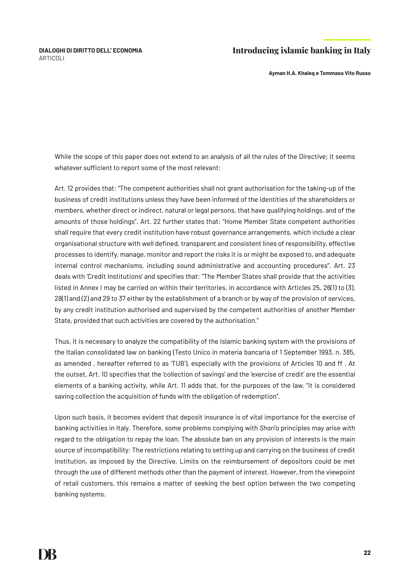**Ayman H.A. Khaleq e Tommaso Vito Russo**

While the scope of this paper does not extend to an analysis of all the rules of the Directive; it seems whatever sufficient to report some of the most relevant:

Art. 12 provides that: "The competent authorities shall not grant authorisation for the taking-up of the business of credit institutions unless they have been informed of the identities of the shareholders or members, whether direct or indirect, natural or legal persons, that have qualifying holdings, and of the amounts of those holdings". Art. 22 further states that: "Home Member State competent authorities shall require that every credit institution have robust governance arrangements, which include a clear organisational structure with well defined, transparent and consistent lines of responsibility, effective processes to identify, manage, monitor and report the risks it is or might be exposed to, and adequate internal control mechanisms, including sound administrative and accounting procedures". Art. 23 deals with 'Credit Institutions' and specifies that: "The Member States shall provide that the activities listed in Annex I may be carried on within their territories, in accordance with Articles 25, 26(1) to (3), 28(1) and (2) and 29 to 37 either by the establishment of a branch or by way of the provision of services, by any credit institution authorised and supervised by the competent authorities of another Member State, provided that such activities are covered by the authorisation."

Thus, it is necessary to analyze the compatibility of the Islamic banking system with the provisions of the Italian consolidated law on banking (Testo Unico in materia bancaria of 1 September 1993, n. 385, as amended , hereafter referred to as 'TUB'), especially with the provisions of Articles 10 and ff . At the outset, Art. 10 specifies that the 'collection of savings' and the 'exercise of credit' are the essential elements of a banking activity, while Art. 11 adds that, for the purposes of the law, "it is considered saving collection the acquisition of funds with the obligation of redemption".

Upon such basis, it becomes evident that deposit insurance is of vital importance for the exercise of banking activities in Italy. Therefore, some problems complying with *Shari'a* principles may arise with regard to the obligation to repay the loan. The absolute ban on any provision of interests is the main source of incompatibility: The restrictions relating to setting up and carrying on the business of credit institution, as imposed by the Directive. Limits on the reimbursement of depositors could be met through the use of different methods other than the payment of interest. However, from the viewpoint of retail customers, this remains a matter of seeking the best option between the two competing banking systems.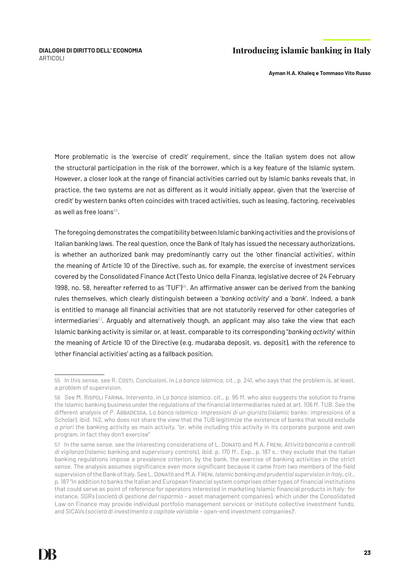**Ayman H.A. Khaleq e Tommaso Vito Russo**

More problematic is the 'exercise of credit' requirement, since the Italian system does not allow the structural participation in the risk of the borrower, which is a key feature of the Islamic system. However, a closer look at the range of financial activities carried out by Islamic banks reveals that, in practice, the two systems are not as different as it would initially appear, given that the 'exercise of credit' by western banks often coincides with traced activities, such as leasing, factoring, receivables as well as free loans $55$ .

The foregoing demonstrates the compatibility between Islamic banking activities and the provisions of Italian banking laws. The real question, once the Bank of Italy has issued the necessary authorizations, is whether an authorized bank may predominantly carry out the 'other financial activities', within the meaning of Article 10 of the Directive, such as, for example, the exercise of investment services covered by the Consolidated Finance Act (Testo Unico della Finanza, legislative decree of 24 February 1998, no. 58, hereafter referred to as 'TUF')<sup>56</sup>. An affirmative answer can be derived from the banking rules themselves, which clearly distinguish between a '*banking activity*' and a '*bank*'. Indeed, a bank is entitled to manage all financial activities that are not statutorily reserved for other categories of intermediaries<sup>57</sup>. Arguably and alternatively though, an applicant may also take the view that each Islamic banking activity is similar or, at least, comparable to its corresponding "*banking activity*' within the meaning of Article 10 of the Directive (e.g. mudaraba deposit, vs. deposit), with the reference to 'other financial activities' acting as a fallback position.

<sup>55</sup> In this sense, see R. Costi, *Conclusioni*, in *La banca islamica*, cit., p. 241, who says that the problem is, at least, a problem of supervision.

<sup>56</sup> See M. Rispoli Farina, *Intervento*, in *La banca islamica*, cit., p. 95 ff. who also suggests the solution to frame the Islamic banking business under the regulations of the financial intermediaries ruled at art. 106 ff. TUB. See the different analysis of P. Abbadessa, *La banca islamica: impressioni di un giurista* (Islamic banks: impressions of a Scholar), ibid. 142, who does not share the view that the TUB legitimize the existence of banks that would exclude *a priori* the banking activity as main activity, "or, while including this activity in its corporate purpose and own program, in fact they don't exercise"

<sup>57</sup> In the same sense, see the interesting considerations of L. Donato and M.A. Freni, *Attività bancaria e controlli di vigilanza* (Islamic banking and supervisory controls), ibid. p. 170 ff., Exp., p. 187 s.: they exclude that the Italian banking regulations impose a prevalence criterion, by the bank, the exercise of banking activities in the strict sense. The analysis assumes significance even more significant because it came from two members of the field supervision of the Bank of Italy. See L. Donato and M.A. Freni, *Islamic banking and prudential supervision in Italy*, cit., p. 187 "In addition to banks the Italian and European financial system comprises other types of financial institutions that could serve as point of reference for operators interested in marketing Islamic financial products in Italy: for instance, SGRs (*società di gestione del risparmio –* asset management companies), which under the Consolidated Law on Finance may provide individual portfolio management services or institute collective investment funds, and SICAVs (*società di investimento a capitale variabile* – open-end investment companies)".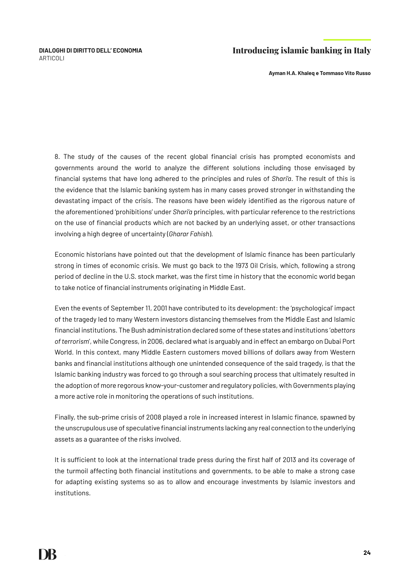**Ayman H.A. Khaleq e Tommaso Vito Russo**

8. The study of the causes of the recent global financial crisis has prompted economists and governments around the world to analyze the different solutions including those envisaged by financial systems that have long adhered to the principles and rules of *Shari'a*. The result of this is the evidence that the Islamic banking system has in many cases proved stronger in withstanding the devastating impact of the crisis. The reasons have been widely identified as the rigorous nature of the aforementioned 'prohibitions' under *Shari'a* principles, with particular reference to the restrictions on the use of financial products which are not backed by an underlying asset, or other transactions involving a high degree of uncertainty (*Gharar Fahish*).

Economic historians have pointed out that the development of Islamic finance has been particularly strong in times of economic crisis. We must go back to the 1973 Oil Crisis, which, following a strong period of decline in the U.S. stock market, was the first time in history that the economic world began to take notice of financial instruments originating in Middle East.

Even the events of September 11, 2001 have contributed to its development: the 'psychological' impact of the tragedy led to many Western investors distancing themselves from the Middle East and Islamic financial institutions. The Bush administration declared some of these states and institutions '*abettors of terrorism*', while Congress, in 2006, declared what is arguably and in effect an embargo on Dubai Port World. In this context, many Middle Eastern customers moved billions of dollars away from Western banks and financial institutions although one unintended consequence of the said tragedy, is that the Islamic banking industry was forced to go through a soul searching process that ultimately resulted in the adoption of more regorous know-your-customer and regulatory policies, with Governments playing a more active role in monitoring the operations of such institutions.

Finally, the sub-prime crisis of 2008 played a role in increased interest in Islamic finance, spawned by the unscrupulous use of speculative financial instruments lacking any real connection to the underlying assets as a guarantee of the risks involved.

It is sufficient to look at the international trade press during the first half of 2013 and its coverage of the turmoil affecting both financial institutions and governments, to be able to make a strong case for adapting existing systems so as to allow and encourage investments by Islamic investors and institutions.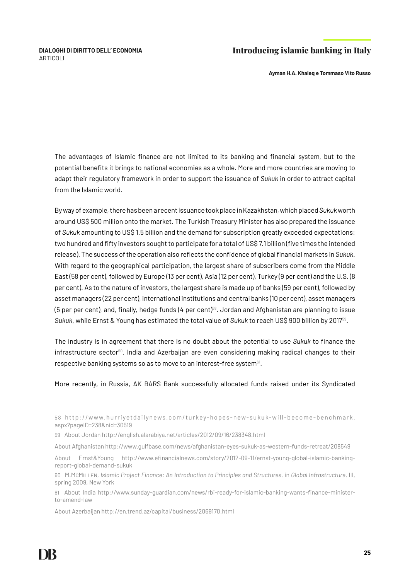**Ayman H.A. Khaleq e Tommaso Vito Russo**

The advantages of Islamic finance are not limited to its banking and financial system, but to the potential benefits it brings to national economies as a whole. More and more countries are moving to adapt their regulatory framework in order to support the issuance of *Sukuk* in order to attract capital from the Islamic world.

By way of example, there has been a recent issuance took place in Kazakhstan, which placed *Sukuk* worth around US\$ 500 million onto the market. The Turkish Treasury Minister has also prepared the issuance of *Sukuk* amounting to US\$ 1.5 billion and the demand for subscription greatly exceeded expectations: two hundred and fifty investors sought to participate for a total of US\$ 7.1 billion (five times the intended release). The success of the operation also reflects the confidence of global financial markets in *Sukuk*. With regard to the geographical participation, the largest share of subscribers come from the Middle East (58 per cent), followed by Europe (13 per cent), Asia (12 per cent), Turkey (9 per cent) and the U.S. (8 per cent). As to the nature of investors, the largest share is made up of banks (59 per cent), followed by asset managers (22 per cent), international institutions and central banks (10 per cent), asset managers (5 per per cent), and, finally, hedge funds (4 per cent)<sup>58</sup>. Jordan and Afghanistan are planning to issue *Sukuk*, while Ernst & Young has estimated the total value of *Sukuk* to reach US\$ 900 billion by 201759.

The industry is in agreement that there is no doubt about the potential to use *Sukuk* to finance the  $infrastructure sector<sup>60</sup>$ . India and Azerbaijan are even considering making radical changes to their respective banking systems so as to move to an interest-free system<sup>61</sup>.

More recently, in Russia, AK BARS Bank successfully allocated funds raised under its Syndicated

About Azerbaijan http://en.trend.az/capital/business/2069170.html

<sup>5 8</sup> http://www.hurriyetdailynews.com/turkey-hopes-new-sukuk-will-become-benchmark. aspx?pageID=238&nid=30519

<sup>59</sup> About Jordan http://english.alarabiya.net/articles/2012/09/16/238348.html

About Afghanistan http://www.gulfbase.com/news/afghanistan-eyes-sukuk-as-western-funds-retreat/208549

About Ernst&Young http://www.efinancialnews.com/story/2012-09-11/ernst-young-global-islamic-bankingreport-global-demand-sukuk

<sup>60</sup> M.McMillen, *Islamic Project Finance: An Introduction to Principles and Structures*, in *Global Infrastructure*, III, spring 2009, New York

<sup>61</sup> About India http://www.sunday-guardian.com/news/rbi-ready-for-islamic-banking-wants-finance-ministerto-amend-law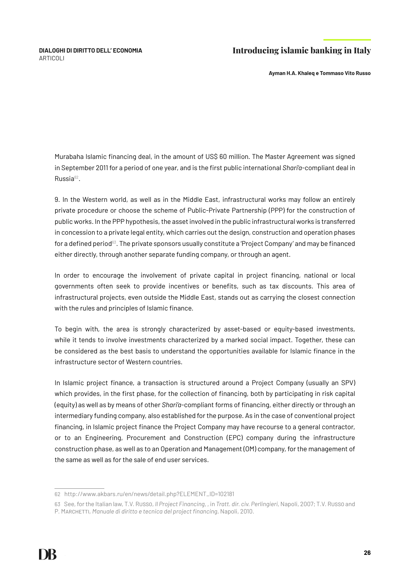**Ayman H.A. Khaleq e Tommaso Vito Russo**

Murabaha Islamic financing deal, in the amount of US\$ 60 million. The Master Agreement was signed in September 2011 for a period of one year, and is the first public international *Shari'a*-compliant deal in Russia62.

9. In the Western world, as well as in the Middle East, infrastructural works may follow an entirely private procedure or choose the scheme of Public-Private Partnership (PPP) for the construction of public works. In the PPP hypothesis, the asset involved in the public infrastructural works is transferred in concession to a private legal entity, which carries out the design, construction and operation phases for a defined period<sup>63</sup>. The private sponsors usually constitute a 'Project Company' and may be financed either directly, through another separate funding company, or through an agent.

In order to encourage the involvement of private capital in project financing, national or local governments often seek to provide incentives or benefits, such as tax discounts. This area of infrastructural projects, even outside the Middle East, stands out as carrying the closest connection with the rules and principles of Islamic finance.

To begin with, the area is strongly characterized by asset-based or equity-based investments, while it tends to involve investments characterized by a marked social impact. Together, these can be considered as the best basis to understand the opportunities available for Islamic finance in the infrastructure sector of Western countries.

In Islamic project finance, a transaction is structured around a Project Company (usually an SPV) which provides, in the first phase, for the collection of financing, both by participating in risk capital (equity) as well as by means of other *Shari'a*-compliant forms of financing, either directly or through an intermediary funding company, also established for the purpose. As in the case of conventional project financing, in Islamic project finance the Project Company may have recourse to a general contractor, or to an Engineering, Procurement and Construction (EPC) company during the infrastructure construction phase, as well as to an Operation and Management (OM) company, for the management of the same as well as for the sale of end user services.

<sup>62</sup> http://www.akbars.ru/en/news/detail.php?ELEMENT\_ID=102181

<sup>63</sup> See, for the Italian law, T.V. Russo, *Il Project Financing*, , in *Tratt. dir. civ. Perlingieri*, Napoli, 2007; T.V. Russo and P. MARCHETTI, *Manuale di diritto e tecnica del project financing*, Napoli, 2010.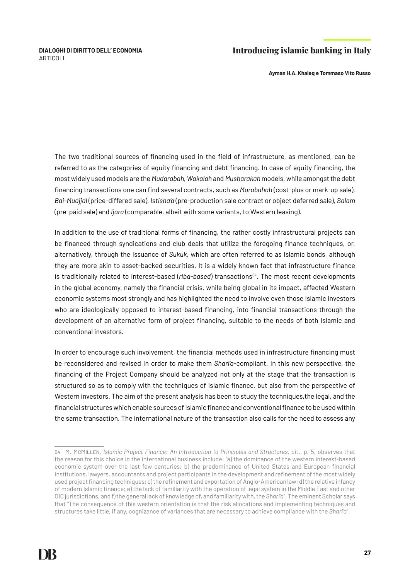**Ayman H.A. Khaleq e Tommaso Vito Russo**

The two traditional sources of financing used in the field of infrastructure, as mentioned, can be referred to as the categories of equity financing and debt financing. In case of equity financing, the most widely used models are the *Mudarabah, Wakalah* and *Musharakah* models, while amongst the debt financing transactions one can find several contracts, such as *Murabahah* (cost-plus or mark-up sale), *Bai-Muajjal* (price-differed sale), *Istisna'a* (pre-production sale contract or object deferred sale), *Salam* (pre-paid sale) and *Ijara* (comparable, albeit with some variants, to Western leasing).

In addition to the use of traditional forms of financing, the rather costly infrastructural projects can be financed through syndications and club deals that utilize the foregoing finance techniques, or, alternatively, through the issuance of *Sukuk*, which are often referred to as Islamic bonds, although they are more akin to asset-backed securities. It is a widely known fact that infrastructure finance is traditionally related to interest-based (*ribg-based*) transactions<sup>64</sup>. The most recent developments in the global economy, namely the financial crisis, while being global in its impact, affected Western economic systems most strongly and has highlighted the need to involve even those Islamic investors who are ideologically opposed to interest-based financing, into financial transactions through the development of an alternative form of project financing, suitable to the needs of both Islamic and conventional investors.

In order to encourage such involvement, the financial methods used in infrastructure financing must be reconsidered and revised in order to make them *Shari'a*-compliant. In this new perspective, the financing of the Project Company should be analyzed not only at the stage that the transaction is structured so as to comply with the techniques of Islamic finance, but also from the perspective of Western investors. The aim of the present analysis has been to study the techniques,the legal, and the financial structures which enable sources of Islamic finance and conventional finance to be used within the same transaction. The international nature of the transaction also calls for the need to assess any

<sup>64</sup> M. McMillen, *Islamic Project Finance: An Introduction to Principles and Structures*, cit., p. 5, observes that the reason for this choice in the international business include: "a) the dominance of the western interest-based economic system over the last few centuries; b) the predominance of United States and European financial institutions, lawyers, accountants and project participants in the development and refinement of the most widely used project financing techniques; c) the refinement and exportation of Anglo-American law; d) the relative infancy of modern Islamic finance; e) the lack of familiarity with the operation of legal system in the Middle East and other OIC jurisdictions, and f) the general lack of knowledge of, and familiarity with, the *Shari'a*". The eminent Scholar says that "The consequence of this western orientation is that the risk allocations and implementing techniques and structures take little, if any, cognizance of variances that are necessary to achieve compliance with the *Shari'a*".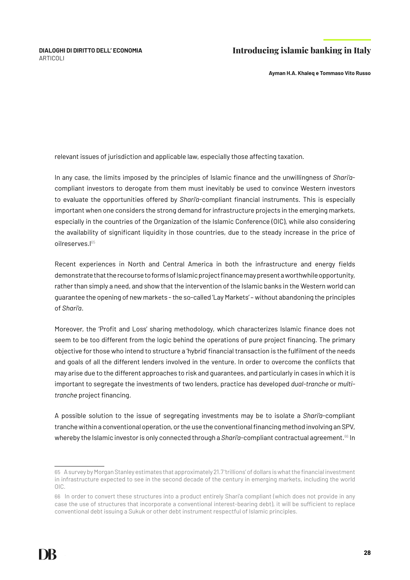**Ayman H.A. Khaleq e Tommaso Vito Russo**

relevant issues of jurisdiction and applicable law, especially those affecting taxation.

In any case, the limits imposed by the principles of Islamic finance and the unwillingness of *Shari'a*compliant investors to derogate from them must inevitably be used to convince Western investors to evaluate the opportunities offered by *Shari'a*-compliant financial instruments. This is especially important when one considers the strong demand for infrastructure projects in the emerging markets, especially in the countries of the Organization of the Islamic Conference (OIC), while also considering the availability of significant liquidity in those countries, due to the steady increase in the price of oilreserves.l<sup>65</sup>

Recent experiences in North and Central America in both the infrastructure and energy fields demonstrate that the recourse to forms of Islamic project finance may present a worthwhile opportunity, rather than simply a need, and show that the intervention of the Islamic banks in the Western world can guarantee the opening of new markets - the so-called 'Lay Markets' – without abandoning the principles of *Shari'a*.

Moreover, the 'Profit and Loss' sharing methodology, which characterizes Islamic finance does not seem to be too different from the logic behind the operations of pure project financing. The primary objective for those who intend to structure a 'hybrid' financial transaction is the fulfilment of the needs and goals of all the different lenders involved in the venture. In order to overcome the conflicts that may arise due to the different approaches to risk and guarantees, and particularly in cases in which it is important to segregate the investments of two lenders, practice has developed *dual-tranche* or *multitranche* project financing.

A possible solution to the issue of segregating investments may be to isolate a *Shari'a*-compliant tranche within a conventional operation, or the use the conventional financing method involving an SPV, whereby the Islamic investor is only connected through a *Shari'a*-compliant contractual agreement.<sup>66</sup> In

<sup>65</sup> A survey by Morgan Stanley estimates that approximately 21.7 'trillions' of dollars is what the financial investment in infrastructure expected to see in the second decade of the century in emerging markets, including the world OIC.

<sup>66</sup> In order to convert these structures into a product entirely Shari'a compliant (which does not provide in any case the use of structures that incorporate a conventional interest-bearing debt), it will be sufficient to replace conventional debt issuing a Sukuk or other debt instrument respectful of Islamic principles.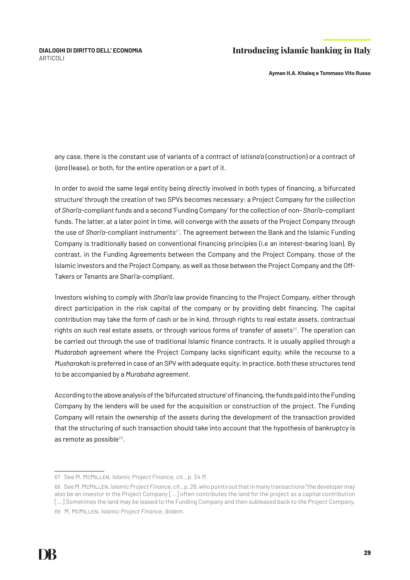**Ayman H.A. Khaleq e Tommaso Vito Russo**

any case, there is the constant use of variants of a contract of *Istisna'a* (construction) or a contract of *Ijara* (lease), or both, for the entire operation or a part of it.

In order to avoid the same legal entity being directly involved in both types of financing, a 'bifurcated structure' through the creation of two SPVs becomes necessary: a Project Company for the collection of *Shari'a*-compliant funds and a second 'Funding Company' for the collection of non- *Shari'a*-compliant funds. The latter, at a later point in time, will converge with the assets of the Project Company through the use of *Shari'a*-compliant instruments<sup>67</sup>. The agreement between the Bank and the Islamic Funding Company is traditionally based on conventional financing principles (i.e an interest-bearing loan). By contrast, in the Funding Agreements between the Company and the Project Company, those of the Islamic investors and the Project Company, as well as those between the Project Company and the Off-Takers or Tenants are Shari'a-compliant.

Investors wishing to comply with *Shari'a* law provide financing to the Project Company, either through direct participation in the risk capital of the company or by providing debt financing. The capital contribution may take the form of cash or be in kind, through rights to real estate assets, contractual rights on such real estate assets, or through various forms of transfer of assets<sup>68</sup>. The operation can be carried out through the use of traditional Islamic finance contracts. It is usually applied through a *Mudarabah* agreement where the Project Company lacks significant equity, while the recourse to a *Musharakah* is preferred in case of an SPV with adequate equity. In practice, both these structures tend to be accompanied by a *Murabaha* agreement.

According to the above analysis of the 'bifurcated structure' of financing, the funds paid into the Funding Company by the lenders will be used for the acquisition or construction of the project. The Funding Company will retain the ownership of the assets during the development of the transaction provided that the structuring of such transaction should take into account that the hypothesis of bankruptcy is as remote as possible $69$ .

<sup>67</sup> See M. McMillen, *Islamic Project Finance*, cit., p. 24 ff.

<sup>68</sup> See M. McMillen, *Islamic Project Finance*, cit., p. 26, who points out that in many transactions "the developer may also be an investor in the Project Company [...] often contributes the land for the project as a capital contribution [...] Sometimes the land may be leased to the Funding Company and then subleased back to the Project Company. 69 M. McMillen, *Islamic Project Finance*, *ibidem*.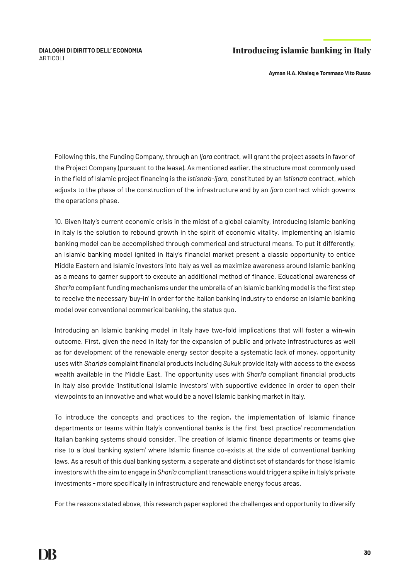**Ayman H.A. Khaleq e Tommaso Vito Russo**

Following this, the Funding Company, through an *Ijara* contract, will grant the project assets in favor of the Project Company (pursuant to the lease). As mentioned earlier, the structure most commonly used in the field of Islamic project financing is the *Istisna'a-Ijara*, constituted by an *Istisna'a* contract, which adjusts to the phase of the construction of the infrastructure and by an *Ijara* contract which governs the operations phase.

10. Given Italy's current economic crisis in the midst of a global calamity, introducing Islamic banking in Italy is the solution to rebound growth in the spirit of economic vitality. Implementing an Islamic banking model can be accomplished through commerical and structural means. To put it differently, an Islamic banking model ignited in Italy's financial market present a classic opportunity to entice Middle Eastern and Islamic investors into Italy as well as maximize awareness around Islamic banking as a means to garner support to execute an additional method of finance. Educational awareness of *Shari'a* compliant funding mechanisms under the umbrella of an Islamic banking model is the first step to receive the necessary 'buy-in' in order for the Italian banking industry to endorse an Islamic banking model over conventional commerical banking, the status quo.

Introducing an Islamic banking model in Italy have two-fold implications that will foster a win-win outcome. First, given the need in Italy for the expansion of public and private infrastructures as well as for development of the renewable energy sector despite a systematic lack of money, opportunity uses with *Sharia's* complaint financial products including *Sukuk* provide Italy with access to the excess wealth available in the Middle East. The opportunity uses with *Shari'a* compliant financial products in Italy also provide 'Institutional Islamic Investors' with supportive evidence in order to open their viewpoints to an innovative and what would be a novel Islamic banking market in Italy.

To introduce the concepts and practices to the region, the implementation of Islamic finance departments or teams within Italy's conventional banks is the first 'best practice' recommendation Italian banking systems should consider. The creation of Islamic finance departments or teams give rise to a 'dual banking system' where Islamic finance co-exists at the side of conventional banking laws. As a result of this dual banking systerm, a seperate and distinct set of standards for those Islamic investors with the aim to engage in *Shari'a* compliant transactions would trigger a spike in Italy's private investments - more specifically in infrastructure and renewable energy focus areas.

For the reasons stated above, this research paper explored the challenges and opportunity to diversify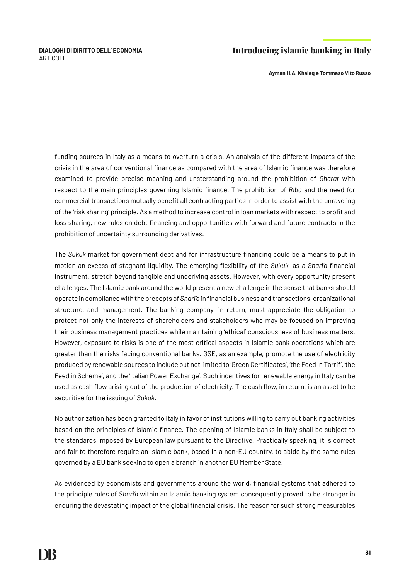**Ayman H.A. Khaleq e Tommaso Vito Russo**

funding sources in Italy as a means to overturn a crisis. An analysis of the different impacts of the crisis in the area of conventional finance as compared with the area of Islamic finance was therefore examined to provide precise meaning and unsterstanding around the prohibition of *Gharar* with respect to the main principles governing Islamic finance. The prohibition of *Riba* and the need for commercial transactions mutually benefit all contracting parties in order to assist with the unraveling of the 'risk sharing' principle. As a method to increase control in loan markets with respect to profit and loss sharing, new rules on debt financing and opportunities with forward and future contracts in the prohibition of uncertainty surrounding derivatives.

The *Sukuk* market for government debt and for infrastructure financing could be a means to put in motion an excess of stagnant liquidity. The emerging flexibility of the *Sukuk,* as a *Shari'a* financial instrument, stretch beyond tangible and underlying assets. However, with every opportunity present challenges. The Islamic bank around the world present a new challenge in the sense that banks should operate in compliance with the precepts of *Shari'a* in financial business and transactions, organizational structure, and management. The banking company, in return, must appreciate the obligation to protect not only the interests of shareholders and stakeholders who may be focused on improving their business management practices while maintaining 'ethical' consciousness of business matters. However, exposure to risks is one of the most critical aspects in Islamic bank operations which are greater than the risks facing conventional banks. GSE, as an example, promote the use of electricity produced by renewable sources to include but not limited to 'Green Certificates', 'the Feed In Tarrif', 'the Feed in Scheme', and the 'Italian Power Exchange'. Such incentives for renewable energy in Italy can be used as cash flow arising out of the production of electricity. The cash flow, in return, is an asset to be securitise for the issuing of *Sukuk*.

No authorization has been granted to Italy in favor of institutions willing to carry out banking activities based on the principles of Islamic finance. The opening of Islamic banks in Italy shall be subject to the standards imposed by European law pursuant to the Directive. Practically speaking, it is correct and fair to therefore require an Islamic bank, based in a non-EU country, to abide by the same rules governed by a EU bank seeking to open a branch in another EU Member State.

As evidenced by economists and governments around the world, financial systems that adhered to the principle rules of *Shari'a* within an Islamic banking system consequently proved to be stronger in enduring the devastating impact of the global financial crisis. The reason for such strong measurables